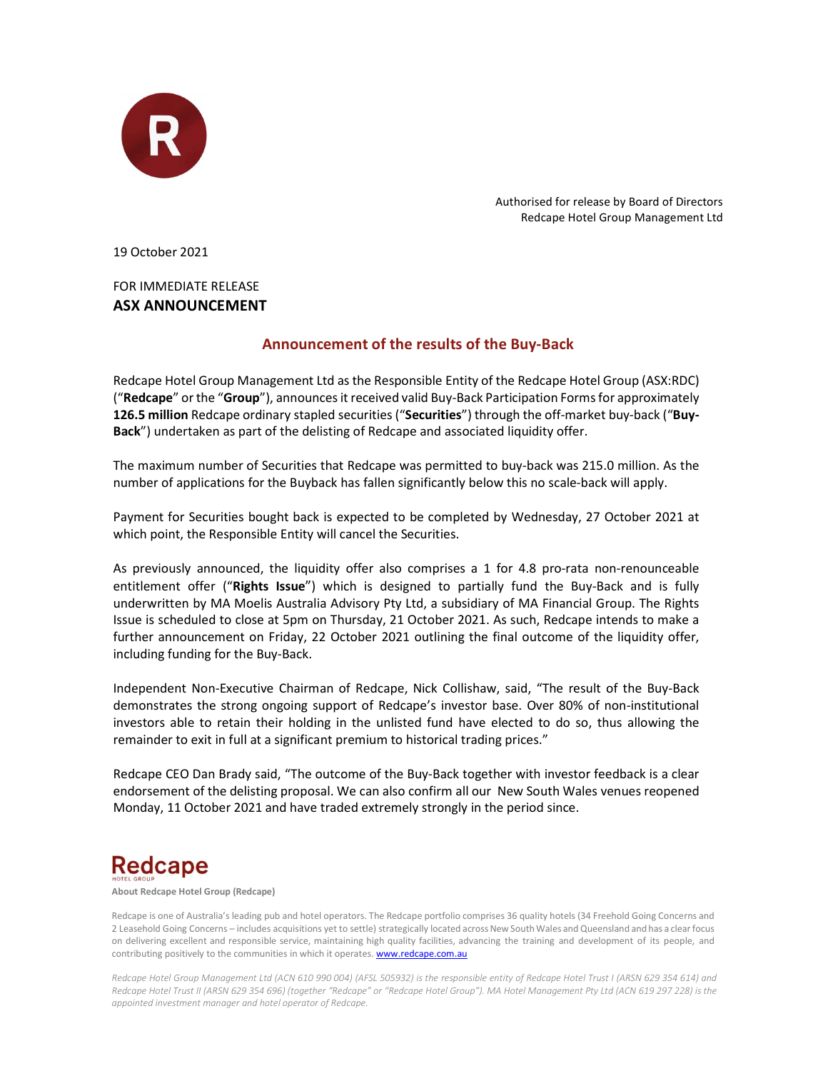

Authorised for release by Board of Directors Redcape Hotel Group Management Ltd

19 October 2021

FOR IMMEDIATE RELEASE ASX ANNOUNCEMENT

## Announcement of the results of the Buy-Back

Redcape Hotel Group Management Ltd as the Responsible Entity of the Redcape Hotel Group (ASX:RDC) ("Redcape" or the "Group"), announces it received valid Buy-Back Participation Forms for approximately 126.5 million Redcape ordinary stapled securities ("Securities") through the off-market buy-back ("Buy-Back") undertaken as part of the delisting of Redcape and associated liquidity offer.

The maximum number of Securities that Redcape was permitted to buy-back was 215.0 million. As the number of applications for the Buyback has fallen significantly below this no scale-back will apply.

Payment for Securities bought back is expected to be completed by Wednesday, 27 October 2021 at which point, the Responsible Entity will cancel the Securities.

As previously announced, the liquidity offer also comprises a 1 for 4.8 pro-rata non-renounceable entitlement offer ("Rights Issue") which is designed to partially fund the Buy-Back and is fully underwritten by MA Moelis Australia Advisory Pty Ltd, a subsidiary of MA Financial Group. The Rights Issue is scheduled to close at 5pm on Thursday, 21 October 2021. As such, Redcape intends to make a further announcement on Friday, 22 October 2021 outlining the final outcome of the liquidity offer, including funding for the Buy-Back.

Independent Non-Executive Chairman of Redcape, Nick Collishaw, said, "The result of the Buy-Back demonstrates the strong ongoing support of Redcape's investor base. Over 80% of non-institutional investors able to retain their holding in the unlisted fund have elected to do so, thus allowing the remainder to exit in full at a significant premium to historical trading prices."

Redcape CEO Dan Brady said, "The outcome of the Buy-Back together with investor feedback is a clear endorsement of the delisting proposal. We can also confirm all our New South Wales venues reopened Monday, 11 October 2021 and have traded extremely strongly in the period since.

## **Redcape**

About Redcape Hotel Group (Redcape)

Redcape is one of Australia's leading pub and hotel operators. The Redcape portfolio comprises 36 quality hotels (34 Freehold Going Concerns and 2 Leasehold Going Concerns – includes acquisitions yet to settle) strategically located across New South Wales and Queensland and has a clear focus on delivering excellent and responsible service, maintaining high quality facilities, advancing the training and development of its people, and contributing positively to the communities in which it operates. **www.redcape.com.au** 

Redcape Hotel Group Management Ltd (ACN 610 990 004) (AFSL 505932) is the responsible entity of Redcape Hotel Trust I (ARSN 629 354 614) and Redcape Hotel Trust II (ARSN 629 354 696) (together "Redcape" or "Redcape Hotel Group"). MA Hotel Management Pty Ltd (ACN 619 297 228) is the appointed investment manager and hotel operator of Redcape.